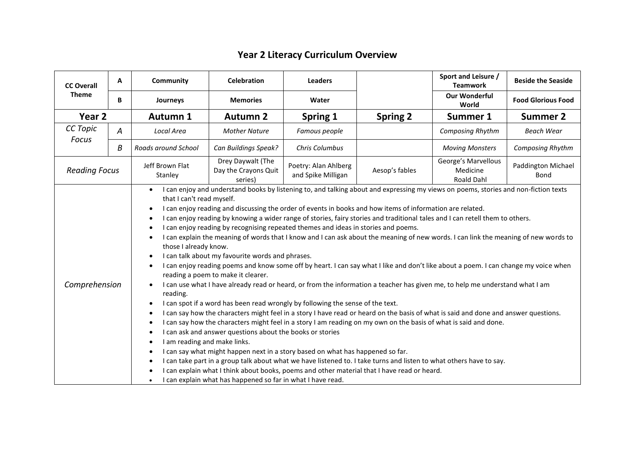## **Year 2 Literacy Curriculum Overview**

| <b>CC Overall</b><br><b>Theme</b> | A                                                                                                                                                                                                                                                                                                                                                                                                                                                                                                                                                                                                                                                                                                                                                                                                                                                                                                                                                                                                                                                                                                                                                                                                                                                                                                                                                                                                                                                                                                                                                                                                                                                                                                                                                                                                                                                                                                                                                                                                        | Community                  | <b>Celebration</b>                                   | <b>Leaders</b>                             |                 | Sport and Leisure /<br><b>Teamwork</b>        | <b>Beside the Seaside</b>  |
|-----------------------------------|----------------------------------------------------------------------------------------------------------------------------------------------------------------------------------------------------------------------------------------------------------------------------------------------------------------------------------------------------------------------------------------------------------------------------------------------------------------------------------------------------------------------------------------------------------------------------------------------------------------------------------------------------------------------------------------------------------------------------------------------------------------------------------------------------------------------------------------------------------------------------------------------------------------------------------------------------------------------------------------------------------------------------------------------------------------------------------------------------------------------------------------------------------------------------------------------------------------------------------------------------------------------------------------------------------------------------------------------------------------------------------------------------------------------------------------------------------------------------------------------------------------------------------------------------------------------------------------------------------------------------------------------------------------------------------------------------------------------------------------------------------------------------------------------------------------------------------------------------------------------------------------------------------------------------------------------------------------------------------------------------------|----------------------------|------------------------------------------------------|--------------------------------------------|-----------------|-----------------------------------------------|----------------------------|
|                                   | B                                                                                                                                                                                                                                                                                                                                                                                                                                                                                                                                                                                                                                                                                                                                                                                                                                                                                                                                                                                                                                                                                                                                                                                                                                                                                                                                                                                                                                                                                                                                                                                                                                                                                                                                                                                                                                                                                                                                                                                                        | Journeys                   | <b>Memories</b>                                      | Water                                      |                 | <b>Our Wonderful</b><br>World                 | <b>Food Glorious Food</b>  |
| Year <sub>2</sub>                 |                                                                                                                                                                                                                                                                                                                                                                                                                                                                                                                                                                                                                                                                                                                                                                                                                                                                                                                                                                                                                                                                                                                                                                                                                                                                                                                                                                                                                                                                                                                                                                                                                                                                                                                                                                                                                                                                                                                                                                                                          | <b>Autumn 1</b>            | <b>Autumn 2</b>                                      | Spring 1                                   | <b>Spring 2</b> | <b>Summer 1</b>                               | <b>Summer 2</b>            |
| CC Topic                          | А                                                                                                                                                                                                                                                                                                                                                                                                                                                                                                                                                                                                                                                                                                                                                                                                                                                                                                                                                                                                                                                                                                                                                                                                                                                                                                                                                                                                                                                                                                                                                                                                                                                                                                                                                                                                                                                                                                                                                                                                        | Local Area                 | <b>Mother Nature</b>                                 | Famous people                              |                 | <b>Composing Rhythm</b>                       | <b>Beach Wear</b>          |
| Focus                             | B                                                                                                                                                                                                                                                                                                                                                                                                                                                                                                                                                                                                                                                                                                                                                                                                                                                                                                                                                                                                                                                                                                                                                                                                                                                                                                                                                                                                                                                                                                                                                                                                                                                                                                                                                                                                                                                                                                                                                                                                        | Roads around School        | Can Buildings Speak?                                 | Chris Columbus                             |                 | <b>Moving Monsters</b>                        | Composing Rhythm           |
| <b>Reading Focus</b>              |                                                                                                                                                                                                                                                                                                                                                                                                                                                                                                                                                                                                                                                                                                                                                                                                                                                                                                                                                                                                                                                                                                                                                                                                                                                                                                                                                                                                                                                                                                                                                                                                                                                                                                                                                                                                                                                                                                                                                                                                          | Jeff Brown Flat<br>Stanley | Drey Daywalt (The<br>Day the Crayons Quit<br>series) | Poetry: Alan Ahlberg<br>and Spike Milligan | Aesop's fables  | George's Marvellous<br>Medicine<br>Roald Dahl | Paddington Michael<br>Bond |
|                                   | I can enjoy and understand books by listening to, and talking about and expressing my views on poems, stories and non-fiction texts<br>that I can't read myself.<br>I can enjoy reading and discussing the order of events in books and how items of information are related.<br>$\bullet$<br>I can enjoy reading by knowing a wider range of stories, fairy stories and traditional tales and I can retell them to others.<br>$\bullet$<br>I can enjoy reading by recognising repeated themes and ideas in stories and poems.<br>$\bullet$<br>I can explain the meaning of words that I know and I can ask about the meaning of new words. I can link the meaning of new words to<br>those I already know.<br>I can talk about my favourite words and phrases.<br>I can enjoy reading poems and know some off by heart. I can say what I like and don't like about a poem. I can change my voice when<br>reading a poem to make it clearer.<br>Comprehension<br>I can use what I have already read or heard, or from the information a teacher has given me, to help me understand what I am<br>reading.<br>I can spot if a word has been read wrongly by following the sense of the text.<br>$\bullet$<br>I can say how the characters might feel in a story I have read or heard on the basis of what is said and done and answer questions.<br>$\bullet$<br>I can say how the characters might feel in a story I am reading on my own on the basis of what is said and done.<br>$\bullet$<br>I can ask and answer questions about the books or stories<br>$\bullet$<br>I am reading and make links.<br>I can say what might happen next in a story based on what has happened so far.<br>$\bullet$<br>I can take part in a group talk about what we have listened to. I take turns and listen to what others have to say.<br>$\bullet$<br>I can explain what I think about books, poems and other material that I have read or heard.<br>I can explain what has happened so far in what I have read. |                            |                                                      |                                            |                 |                                               |                            |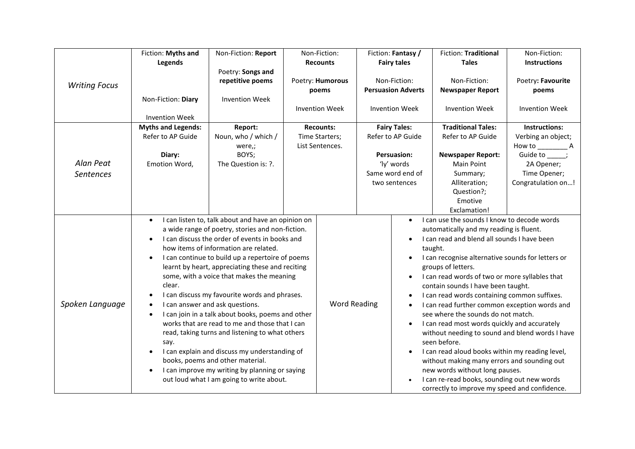|                               | Fiction: Myths and                                                                                        | Non-Fiction: Report                                                                                                                                                                                                                                                                                                                                                                                                                                                                                                                                                                                                                                                                                                                                                                     |                       | Non-Fiction:                                          | Fiction: Fantasy /                                                                                                                                                                                                                                                                                                                                                                                                                                                                                                                                                                                                                                                                                                                                                                                                                | <b>Fiction: Traditional</b>                                                                                                                                    | Non-Fiction:                                                                                          |
|-------------------------------|-----------------------------------------------------------------------------------------------------------|-----------------------------------------------------------------------------------------------------------------------------------------------------------------------------------------------------------------------------------------------------------------------------------------------------------------------------------------------------------------------------------------------------------------------------------------------------------------------------------------------------------------------------------------------------------------------------------------------------------------------------------------------------------------------------------------------------------------------------------------------------------------------------------------|-----------------------|-------------------------------------------------------|-----------------------------------------------------------------------------------------------------------------------------------------------------------------------------------------------------------------------------------------------------------------------------------------------------------------------------------------------------------------------------------------------------------------------------------------------------------------------------------------------------------------------------------------------------------------------------------------------------------------------------------------------------------------------------------------------------------------------------------------------------------------------------------------------------------------------------------|----------------------------------------------------------------------------------------------------------------------------------------------------------------|-------------------------------------------------------------------------------------------------------|
|                               | Legends                                                                                                   |                                                                                                                                                                                                                                                                                                                                                                                                                                                                                                                                                                                                                                                                                                                                                                                         |                       | <b>Recounts</b>                                       | <b>Fairy tales</b>                                                                                                                                                                                                                                                                                                                                                                                                                                                                                                                                                                                                                                                                                                                                                                                                                | <b>Tales</b>                                                                                                                                                   | <b>Instructions</b>                                                                                   |
| <b>Writing Focus</b>          |                                                                                                           | Poetry: Songs and<br>repetitive poems                                                                                                                                                                                                                                                                                                                                                                                                                                                                                                                                                                                                                                                                                                                                                   |                       | Poetry: Humorous<br>poems                             | Non-Fiction:<br><b>Persuasion Adverts</b>                                                                                                                                                                                                                                                                                                                                                                                                                                                                                                                                                                                                                                                                                                                                                                                         | Non-Fiction:<br><b>Newspaper Report</b>                                                                                                                        | Poetry: Favourite<br>poems                                                                            |
|                               | Non-Fiction: Diary                                                                                        | <b>Invention Week</b>                                                                                                                                                                                                                                                                                                                                                                                                                                                                                                                                                                                                                                                                                                                                                                   | <b>Invention Week</b> |                                                       | <b>Invention Week</b>                                                                                                                                                                                                                                                                                                                                                                                                                                                                                                                                                                                                                                                                                                                                                                                                             | <b>Invention Week</b>                                                                                                                                          | <b>Invention Week</b>                                                                                 |
| Alan Peat<br><b>Sentences</b> | <b>Invention Week</b><br><b>Myths and Legends:</b><br>Refer to AP Guide<br>Diary:<br>Emotion Word,        | Report:<br>Noun, who / which /<br>were,;<br>BOYS;<br>The Question is: ?.                                                                                                                                                                                                                                                                                                                                                                                                                                                                                                                                                                                                                                                                                                                |                       | <b>Recounts:</b><br>Time Starters;<br>List Sentences. | <b>Fairy Tales:</b><br>Refer to AP Guide<br><b>Persuasion:</b><br>'ly' words<br>Same word end of<br>two sentences                                                                                                                                                                                                                                                                                                                                                                                                                                                                                                                                                                                                                                                                                                                 | <b>Traditional Tales:</b><br>Refer to AP Guide<br><b>Newspaper Report:</b><br>Main Point<br>Summary;<br>Alliteration;<br>Question?;<br>Emotive<br>Exclamation! | Instructions:<br>Verbing an object;<br>Guide to ;<br>2A Opener;<br>Time Opener;<br>Congratulation on! |
| Spoken Language               | $\bullet$<br>$\bullet$<br>$\bullet$<br>clear.<br>$\bullet$<br>$\bullet$<br>say.<br>$\bullet$<br>$\bullet$ | I can listen to, talk about and have an opinion on<br>a wide range of poetry, stories and non-fiction.<br>I can discuss the order of events in books and<br>how items of information are related.<br>I can continue to build up a repertoire of poems<br>learnt by heart, appreciating these and reciting<br>some, with a voice that makes the meaning<br>I can discuss my favourite words and phrases.<br>I can answer and ask questions.<br>I can join in a talk about books, poems and other<br>works that are read to me and those that I can<br>read, taking turns and listening to what others<br>I can explain and discuss my understanding of<br>books, poems and other material.<br>I can improve my writing by planning or saying<br>out loud what I am going to write about. |                       | <b>Word Reading</b>                                   | I can use the sounds I know to decode words<br>$\bullet$<br>automatically and my reading is fluent.<br>I can read and blend all sounds I have been<br>taught.<br>I can recognise alternative sounds for letters or<br>groups of letters.<br>I can read words of two or more syllables that<br>$\bullet$<br>contain sounds I have been taught.<br>I can read words containing common suffixes.<br>$\bullet$<br>I can read further common exception words and<br>$\bullet$<br>see where the sounds do not match.<br>I can read most words quickly and accurately<br>$\bullet$<br>without needing to sound and blend words I have<br>seen before.<br>I can read aloud books within my reading level,<br>without making many errors and sounding out<br>new words without long pauses.<br>I can re-read books, sounding out new words |                                                                                                                                                                |                                                                                                       |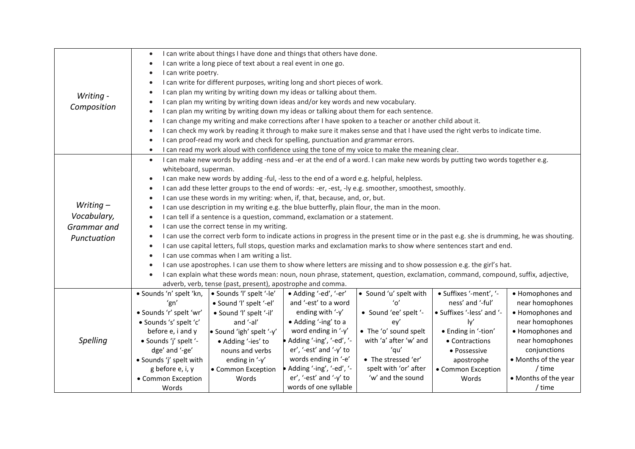| Writing -<br>Composition                                 | I can write about things I have done and things that others have done.<br>$\bullet$<br>I can write a long piece of text about a real event in one go.<br>$\bullet$<br>I can write poetry.<br>I can write for different purposes, writing long and short pieces of work.<br>I can plan my writing by writing down my ideas or talking about them.<br>I can plan my writing by writing down ideas and/or key words and new vocabulary.<br>I can plan my writing by writing down my ideas or talking about them for each sentence.<br>I can change my writing and make corrections after I have spoken to a teacher or another child about it.<br>$\bullet$<br>I can check my work by reading it through to make sure it makes sense and that I have used the right verbs to indicate time.<br>$\bullet$<br>I can proof-read my work and check for spelling, punctuation and grammar errors.                                                                                                                                                                                                                                                                                                                                                                                                                                                                                        |                                                    |                                                 |                                                                                                |                                            |                                      |  |  |
|----------------------------------------------------------|----------------------------------------------------------------------------------------------------------------------------------------------------------------------------------------------------------------------------------------------------------------------------------------------------------------------------------------------------------------------------------------------------------------------------------------------------------------------------------------------------------------------------------------------------------------------------------------------------------------------------------------------------------------------------------------------------------------------------------------------------------------------------------------------------------------------------------------------------------------------------------------------------------------------------------------------------------------------------------------------------------------------------------------------------------------------------------------------------------------------------------------------------------------------------------------------------------------------------------------------------------------------------------------------------------------------------------------------------------------------------------|----------------------------------------------------|-------------------------------------------------|------------------------------------------------------------------------------------------------|--------------------------------------------|--------------------------------------|--|--|
|                                                          | $\bullet$                                                                                                                                                                                                                                                                                                                                                                                                                                                                                                                                                                                                                                                                                                                                                                                                                                                                                                                                                                                                                                                                                                                                                                                                                                                                                                                                                                        |                                                    |                                                 | I can read my work aloud with confidence using the tone of my voice to make the meaning clear. |                                            |                                      |  |  |
| Writing $-$<br>Vocabulary,<br>Grammar and<br>Punctuation | I can make new words by adding -ness and -er at the end of a word. I can make new words by putting two words together e.g.<br>$\bullet$<br>whiteboard, superman.<br>I can make new words by adding -ful, -less to the end of a word e.g. helpful, helpless.<br>$\bullet$<br>I can add these letter groups to the end of words: -er, -est, -ly e.g. smoother, smoothest, smoothly.<br>$\bullet$<br>I can use these words in my writing: when, if, that, because, and, or, but.<br>$\bullet$<br>I can use description in my writing e.g. the blue butterfly, plain flour, the man in the moon.<br>I can tell if a sentence is a question, command, exclamation or a statement.<br>I can use the correct tense in my writing.<br>I can use the correct verb form to indicate actions in progress in the present time or in the past e.g. she is drumming, he was shouting.<br>I can use capital letters, full stops, question marks and exclamation marks to show where sentences start and end.<br>I can use commas when I am writing a list.<br>$\bullet$<br>I can use apostrophes. I can use them to show where letters are missing and to show possession e.g. the girl's hat.<br>I can explain what these words mean: noun, noun phrase, statement, question, exclamation, command, compound, suffix, adjective,<br>adverb, verb, tense (past, present), apostrophe and comma. |                                                    |                                                 |                                                                                                |                                            |                                      |  |  |
|                                                          | · Sounds 'n' spelt 'kn,                                                                                                                                                                                                                                                                                                                                                                                                                                                                                                                                                                                                                                                                                                                                                                                                                                                                                                                                                                                                                                                                                                                                                                                                                                                                                                                                                          | · Sounds 'l' spelt '-le'                           | • Adding '-ed', '-er'<br>and '-est' to a word   | • Sound 'u' spelt with<br>$^{\prime}$ 0 $^{\prime}$                                            | · Suffixes '-ment', '-<br>ness' and '-ful' | • Homophones and                     |  |  |
|                                                          | 'gn'<br>· Sounds 'r' spelt 'wr'                                                                                                                                                                                                                                                                                                                                                                                                                                                                                                                                                                                                                                                                                                                                                                                                                                                                                                                                                                                                                                                                                                                                                                                                                                                                                                                                                  | · Sound 'l' spelt '-el'<br>· Sound 'l' spelt '-il' | ending with '-y'                                | • Sound 'ee' spelt '-                                                                          | • Suffixes '-less' and '-                  | near homophones<br>• Homophones and  |  |  |
|                                                          | · Sounds 's' spelt 'c'                                                                                                                                                                                                                                                                                                                                                                                                                                                                                                                                                                                                                                                                                                                                                                                                                                                                                                                                                                                                                                                                                                                                                                                                                                                                                                                                                           | and '-al'                                          | • Adding '-ing' to a                            | ey'                                                                                            | ly                                         | near homophones                      |  |  |
|                                                          | before e, i and y                                                                                                                                                                                                                                                                                                                                                                                                                                                                                                                                                                                                                                                                                                                                                                                                                                                                                                                                                                                                                                                                                                                                                                                                                                                                                                                                                                | · Sound 'igh' spelt '-y'                           | word ending in '-y'                             | • The 'o' sound spelt                                                                          | • Ending in '-tion'                        | • Homophones and                     |  |  |
| Spelling                                                 | · Sounds 'j' spelt '-                                                                                                                                                                                                                                                                                                                                                                                                                                                                                                                                                                                                                                                                                                                                                                                                                                                                                                                                                                                                                                                                                                                                                                                                                                                                                                                                                            | • Adding '-ies' to                                 | • Adding '-ing', '-ed', '-                      | with 'a' after 'w' and                                                                         | • Contractions                             | near homophones                      |  |  |
|                                                          | dge' and '-ge'                                                                                                                                                                                                                                                                                                                                                                                                                                                                                                                                                                                                                                                                                                                                                                                                                                                                                                                                                                                                                                                                                                                                                                                                                                                                                                                                                                   | nouns and verbs                                    | er', '-est' and '-y' to<br>words ending in '-e' | 'qu'<br>• The stressed 'er'                                                                    | • Possessive                               | conjunctions<br>• Months of the year |  |  |
|                                                          | · Sounds 'j' spelt with<br>g before e, i, y                                                                                                                                                                                                                                                                                                                                                                                                                                                                                                                                                                                                                                                                                                                                                                                                                                                                                                                                                                                                                                                                                                                                                                                                                                                                                                                                      | ending in '-y'<br>• Common Exception               | • Adding '-ing', '-ed', '-                      | spelt with 'or' after                                                                          | apostrophe<br>• Common Exception           | / time                               |  |  |
|                                                          | • Common Exception                                                                                                                                                                                                                                                                                                                                                                                                                                                                                                                                                                                                                                                                                                                                                                                                                                                                                                                                                                                                                                                                                                                                                                                                                                                                                                                                                               | Words                                              | er', '-est' and '-y' to                         | 'w' and the sound                                                                              | Words                                      | • Months of the year                 |  |  |
|                                                          | Words                                                                                                                                                                                                                                                                                                                                                                                                                                                                                                                                                                                                                                                                                                                                                                                                                                                                                                                                                                                                                                                                                                                                                                                                                                                                                                                                                                            |                                                    | words of one syllable                           |                                                                                                |                                            | / time                               |  |  |